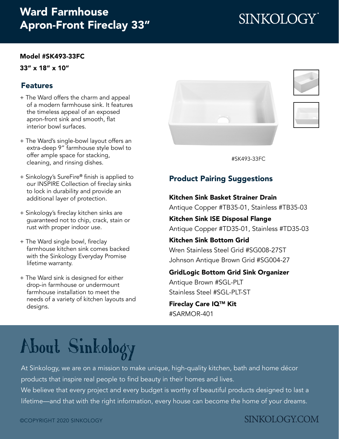## Ward Farmhouse [Apron-Front Fireclay 33"](https://www.sinkology.com/kitchen-sink/ward-fireclay-farmhouse-sink/)

#### [Model #SK493-33FC](https://www.sinkology.com/kitchen-sink/ward-fireclay-farmhouse-sink/)

33" x 18" x 10"

### Features

- + The Ward offers the charm and appeal of a modern farmhouse sink. It features the timeless appeal of an exposed apron-front sink and smooth, flat interior bowl surfaces.
- + The Ward's single-bowl layout offers an extra-deep 9" farmhouse style bowl to offer ample space for stacking, cleaning, and rinsing dishes.
- + Sinkology's SureFire® finish is applied to our INSPIRE Collection of fireclay sinks to lock in durability and provide an additional layer of protection.
- + Sinkology's fireclay kitchen sinks are guaranteed not to chip, crack, stain or rust with proper indoor use.
- + The Ward single bowl, fireclay farmhouse kitchen sink comes backed with the Sinkology Everyday Promise lifetime warranty.
- + The Ward sink is designed for either drop-in farmhouse or undermount farmhouse installation to meet the needs of a variety of kitchen layouts and designs.







[#SK493-33FC](https://www.sinkology.com/kitchen-sink/ward-fireclay-farmhouse-sink/)

### Product Pairing Suggestions

### Kitchen Sink Basket Strainer Drain

Antique Copper #TB35-01, Stainless #TB35-03

Kitchen Sink ISE Disposal Flange Antique Copper #TD35-01, Stainless #TD35-03

### Kitchen Sink Bottom Grid

Wren Stainless Steel Grid #SG008-27ST Johnson Antique Brown Grid #SG004-27

### GridLogic Bottom Grid Sink Organizer

[Antique Brown #SGL-PLT](https://www.sinkology.com/kitchen-accessory/gridlogic-bottom-grid-kitchen-sink-organizer-antique-brown/) [Stainless Steel #SGL-PLT-ST](https://www.sinkology.com/kitchen-accessory/gridlogic-bottom-grid-kitchen-sink-organizer-stainless-steel/)

Fireclay Care IQTM Kit #SARMOR-401

# [About Sinkology](https://www.sinkology.com/about-sinkology/)

At Sinkology, we are on a mission to make unique, high-quality kitchen, bath and home décor products that inspire real people to find beauty in their homes and lives.

We believe that every project and every budget is worthy of beautiful products designed to last a lifetime—and that with the right information, every house can become the home of your dreams.

## **SINKOLOGY.COM**

# SINKOLOGY